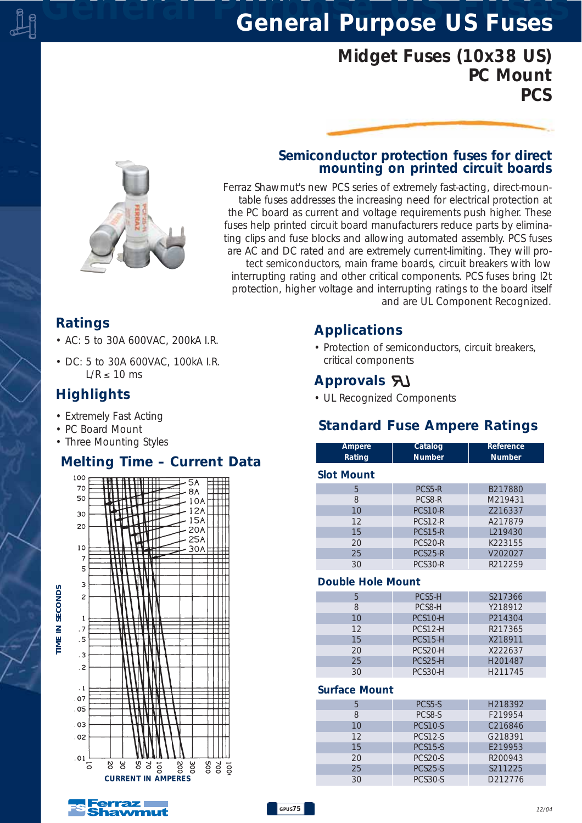# *General Purpose US Fuses General Purpose US Fuses*

# *Midget Fuses (10x38 US) PC Mount PCS*

# *Semiconductor protection fuses for direct mounting on printed circuit boards*

*Ferraz Shawmut's new PCS series of extremely fast-acting, direct-mountable fuses addresses the increasing need for electrical protection at the PC board as current and voltage requirements push higher. These fuses help printed circuit board manufacturers reduce parts by eliminating clips and fuse blocks and allowing automated assembly. PCS fuses are AC and DC rated and are extremely current-limiting. They will protect semiconductors, main frame boards, circuit breakers with low interrupting rating and other critical components. PCS fuses bring I2t protection, higher voltage and interrupting ratings to the board itself and are UL Component Recognized.*

## *Ratings*

- *AC: 5 to 30A 600VAC, 200kA I.R.*
- *DC: 5 to 30A 600VAC, 100kA I.R. L/R* ≤ *10 ms*

# *Highlights*

- *Extremely Fast Acting*
- *PC Board Mount*
- *Three Mounting Styles*

## *Melting Time – Current Data*





## *Applications*

*• Protection of semiconductors, circuit breakers, critical components*

# *Approvals*

*• UL Recognized Components*

## *Standard Fuse Ampere Ratings*

| Ampere<br>Rating  | Catalog<br><b>Number</b> | Reference<br><b>Number</b> |
|-------------------|--------------------------|----------------------------|
| <b>Slot Mount</b> |                          |                            |
| 5                 | PCS5-R                   | B217880                    |
| 8                 | PCS8-R                   | M219431                    |
| 10                | PCS <sub>10</sub> -R     | 7216337                    |
| 12                | <b>PCS12-R</b>           | A217879                    |
| 15                | <b>PCS15-R</b>           | L <sub>219430</sub>        |
| 20                | PCS <sub>20</sub> -R     | K223155                    |
| 25                | <b>PCS25-R</b>           | V202027                    |
| 30                | PCS30-R                  | R212259                    |
| .                 |                          |                            |

#### *Double Hole Mount*

| 5  | PCS5-H               | S217366 |
|----|----------------------|---------|
| 8  | PCS8-H               | Y218912 |
| 10 | PCS <sub>10</sub> -H | P214304 |
| 12 | PCS12-H              | R217365 |
| 15 | $PCS15-H$            | X218911 |
| 20 | PCS <sub>20</sub> -H | X222637 |
| 25 | PCS25-H              | H201487 |
| 30 | PCS30-H              | H211745 |

### *Surface Mount*

|    | PCS5-S         | H <sub>218392</sub> |
|----|----------------|---------------------|
|    | PCS8-S         | F219954             |
| 10 | <b>PCS10-S</b> | C216846             |
| 12 | <b>PCS12-S</b> | G218391             |
| 15 | <b>PCS15-S</b> | E219953             |
| 20 | <b>PCS20-S</b> | R200943             |
| 25 | <b>PCS25-S</b> | S211225             |
| 30 | PCS30-S        | D212776             |